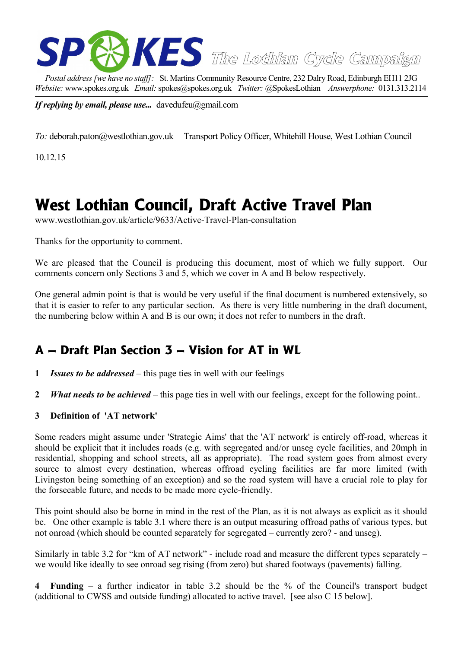

*Postal address [we have no staff]:* St. Martins Community Resource Centre, 232 Dalry Road, Edinburgh EH11 2JG *Website:* www.spokes.org.uk *Email:* spokes@spokes.org.uk *Twitter:* @SpokesLothian *Answerphone:* 0131.313.2114

*If replying by email, please use...* davedufeu@gmail.com

*To:* deborah.paton@westlothian.gov.uk Transport Policy Officer, Whitehill House, West Lothian Council

10.12.15

# **West Lothian Council, Draft Active Travel Plan**

www.westlothian.gov.uk/article/9633/Active-Travel-Plan-consultation

Thanks for the opportunity to comment.

We are pleased that the Council is producing this document, most of which we fully support. Our comments concern only Sections 3 and 5, which we cover in A and B below respectively.

One general admin point is that is would be very useful if the final document is numbered extensively, so that it is easier to refer to any particular section. As there is very little numbering in the draft document, the numbering below within A and B is our own; it does not refer to numbers in the draft.

### **A – Draft Plan Section 3 – Vision for AT in WL**

- **1** *Issues to be addressed* this page ties in well with our feelings
- **2** *What needs to be achieved* this page ties in well with our feelings, except for the following point..

#### **3 Definition of 'AT network'**

Some readers might assume under 'Strategic Aims' that the 'AT network' is entirely off-road, whereas it should be explicit that it includes roads (e.g. with segregated and/or unseg cycle facilities, and 20mph in residential, shopping and school streets, all as appropriate). The road system goes from almost every source to almost every destination, whereas offroad cycling facilities are far more limited (with Livingston being something of an exception) and so the road system will have a crucial role to play for the forseeable future, and needs to be made more cycle-friendly.

This point should also be borne in mind in the rest of the Plan, as it is not always as explicit as it should be. One other example is table 3.1 where there is an output measuring offroad paths of various types, but not onroad (which should be counted separately for segregated – currently zero? - and unseg).

Similarly in table 3.2 for "km of AT network" - include road and measure the different types separately – we would like ideally to see onroad seg rising (from zero) but shared footways (pavements) falling.

**4 Funding** – a further indicator in table 3.2 should be the % of the Council's transport budget (additional to CWSS and outside funding) allocated to active travel. [see also C 15 below].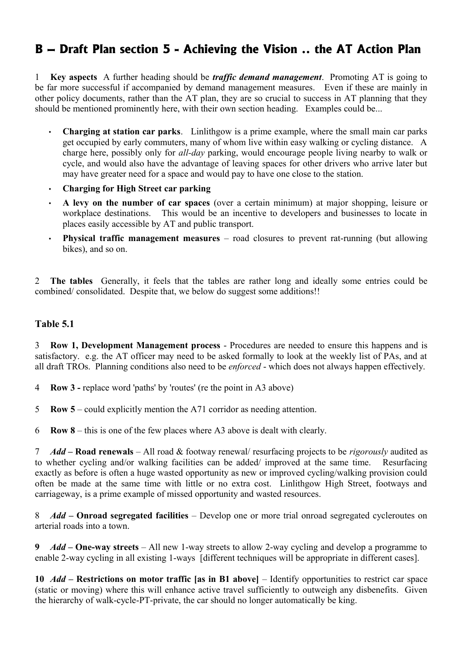## **B – Draft Plan section 5 - Achieving the Vision .. the AT Action Plan**

1 **Key aspects** A further heading should be *traffic demand management*. Promoting AT is going to be far more successful if accompanied by demand management measures. Even if these are mainly in other policy documents, rather than the AT plan, they are so crucial to success in AT planning that they should be mentioned prominently here, with their own section heading. Examples could be...

- **Charging at station car parks**. Linlithgow is a prime example, where the small main car parks get occupied by early commuters, many of whom live within easy walking or cycling distance. A charge here, possibly only for *all-day* parking, would encourage people living nearby to walk or cycle, and would also have the advantage of leaving spaces for other drivers who arrive later but may have greater need for a space and would pay to have one close to the station.
- **Charging for High Street car parking**
- **A levy on the number of car spaces** (over a certain minimum) at major shopping, leisure or workplace destinations. This would be an incentive to developers and businesses to locate in places easily accessible by AT and public transport.
- **Physical traffic management measures** road closures to prevent rat-running (but allowing bikes), and so on.

2 **The tables** Generally, it feels that the tables are rather long and ideally some entries could be combined/ consolidated. Despite that, we below do suggest some additions!!

#### **Table 5.1**

3 **Row 1, Development Management process** - Procedures are needed to ensure this happens and is satisfactory. e.g. the AT officer may need to be asked formally to look at the weekly list of PAs, and at all draft TROs. Planning conditions also need to be *enforced* - which does not always happen effectively.

- 4 **Row 3 -** replace word 'paths' by 'routes' (re the point in A3 above)
- 5 **Row 5** could explicitly mention the A71 corridor as needing attention.

6 **Row 8** – this is one of the few places where A3 above is dealt with clearly.

7 *Add* **– Road renewals** – All road & footway renewal/ resurfacing projects to be *rigorously* audited as to whether cycling and/or walking facilities can be added/ improved at the same time. Resurfacing exactly as before is often a huge wasted opportunity as new or improved cycling/walking provision could often be made at the same time with little or no extra cost. Linlithgow High Street, footways and carriageway, is a prime example of missed opportunity and wasted resources.

8 *Add* **– Onroad segregated facilities** – Develop one or more trial onroad segregated cycleroutes on arterial roads into a town.

**9** *Add* **– One-way streets** – All new 1-way streets to allow 2-way cycling and develop a programme to enable 2-way cycling in all existing 1-ways [different techniques will be appropriate in different cases].

**10** *Add* **– Restrictions on motor traffic [as in B1 above]** – Identify opportunities to restrict car space (static or moving) where this will enhance active travel sufficiently to outweigh any disbenefits. Given the hierarchy of walk-cycle-PT-private, the car should no longer automatically be king.